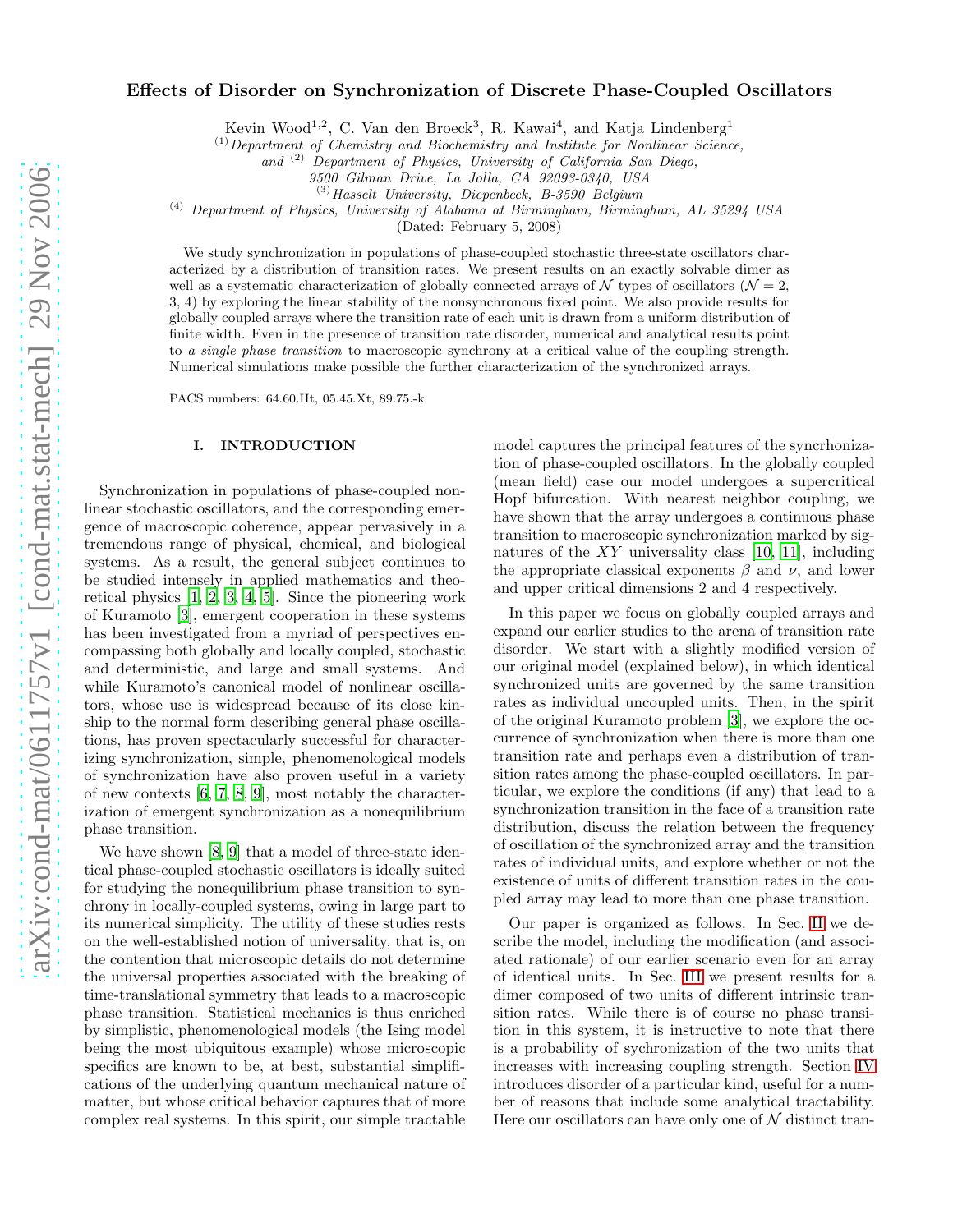# Effects of Disorder on Synchronization of Discrete Phase-Coupled Oscillators

Kevin Wood<sup>1,2</sup>, C. Van den Broeck<sup>3</sup>, R. Kawai<sup>4</sup>, and Katja Lindenberg<sup>1</sup>

 $<sup>(1)</sup> Department of Chemistry and Biochemistry and Institute for Nonlinear Science,$ </sup>

and (2) Department of Physics, University of California San Diego,

 $^{(3)}$ Hasselt University, Diepenbeek, B-3590 Belgium

(4) Department of Physics, University of Alabama at Birmingham, Birmingham, AL 35294 USA

(Dated: February 5, 2008)

We study synchronization in populations of phase-coupled stochastic three-state oscillators characterized by a distribution of transition rates. We present results on an exactly solvable dimer as well as a systematic characterization of globally connected arrays of  $\mathcal N$  types of oscillators ( $\mathcal N = 2$ , 3, 4) by exploring the linear stability of the nonsynchronous fixed point. We also provide results for globally coupled arrays where the transition rate of each unit is drawn from a uniform distribution of finite width. Even in the presence of transition rate disorder, numerical and analytical results point to a single phase transition to macroscopic synchrony at a critical value of the coupling strength. Numerical simulations make possible the further characterization of the synchronized arrays.

PACS numbers: 64.60.Ht, 05.45.Xt, 89.75.-k

### I. INTRODUCTION

Synchronization in populations of phase-coupled nonlinear stochastic oscillators, and the corresponding emergence of macroscopic coherence, appear pervasively in a tremendous range of physical, chemical, and biological systems. As a result, the general subject continues to be studied intensely in applied mathematics and theoretical physics [\[1,](#page-10-0) [2](#page-10-1), [3,](#page-10-2) [4](#page-10-3), [5](#page-10-4)]. Since the pioneering work of Kuramoto [\[3](#page-10-2)], emergent cooperation in these systems has been investigated from a myriad of perspectives encompassing both globally and locally coupled, stochastic and deterministic, and large and small systems. And while Kuramoto's canonical model of nonlinear oscillators, whose use is widespread because of its close kinship to the normal form describing general phase oscillations, has proven spectacularly successful for characterizing synchronization, simple, phenomenological models of synchronization have also proven useful in a variety of new contexts [\[6,](#page-10-5) [7](#page-10-6), [8](#page-10-7), [9\]](#page-10-8), most notably the characterization of emergent synchronization as a nonequilibrium phase transition.

We have shown [\[8](#page-10-7), [9](#page-10-8)] that a model of three-state identical phase-coupled stochastic oscillators is ideally suited for studying the nonequilibrium phase transition to synchrony in locally-coupled systems, owing in large part to its numerical simplicity. The utility of these studies rests on the well-established notion of universality, that is, on the contention that microscopic details do not determine the universal properties associated with the breaking of time-translational symmetry that leads to a macroscopic phase transition. Statistical mechanics is thus enriched by simplistic, phenomenological models (the Ising model being the most ubiquitous example) whose microscopic specifics are known to be, at best, substantial simplifications of the underlying quantum mechanical nature of matter, but whose critical behavior captures that of more complex real systems. In this spirit, our simple tractable model captures the principal features of the syncrhonization of phase-coupled oscillators. In the globally coupled (mean field) case our model undergoes a supercritical Hopf bifurcation. With nearest neighbor coupling, we have shown that the array undergoes a continuous phase transition to macroscopic synchronization marked by signatures of the  $XY$  universality class [\[10,](#page-10-9) [11\]](#page-10-10), including the appropriate classical exponents  $\beta$  and  $\nu$ , and lower and upper critical dimensions 2 and 4 respectively.

In this paper we focus on globally coupled arrays and expand our earlier studies to the arena of transition rate disorder. We start with a slightly modified version of our original model (explained below), in which identical synchronized units are governed by the same transition rates as individual uncoupled units. Then, in the spirit of the original Kuramoto problem [\[3\]](#page-10-2), we explore the occurrence of synchronization when there is more than one transition rate and perhaps even a distribution of transition rates among the phase-coupled oscillators. In particular, we explore the conditions (if any) that lead to a synchronization transition in the face of a transition rate distribution, discuss the relation between the frequency of oscillation of the synchronized array and the transition rates of individual units, and explore whether or not the existence of units of different transition rates in the coupled array may lead to more than one phase transition.

Our paper is organized as follows. In Sec. [II](#page-1-0) we describe the model, including the modification (and associated rationale) of our earlier scenario even for an array of identical units. In Sec. [III](#page-3-0) we present results for a dimer composed of two units of different intrinsic transition rates. While there is of course no phase transition in this system, it is instructive to note that there is a probability of sychronization of the two units that increases with increasing coupling strength. Section [IV](#page-4-0) introduces disorder of a particular kind, useful for a number of reasons that include some analytical tractability. Here our oscillators can have only one of  $N$  distinct tran-

<sup>9500</sup> Gilman Drive, La Jolla, CA 92093-0340, USA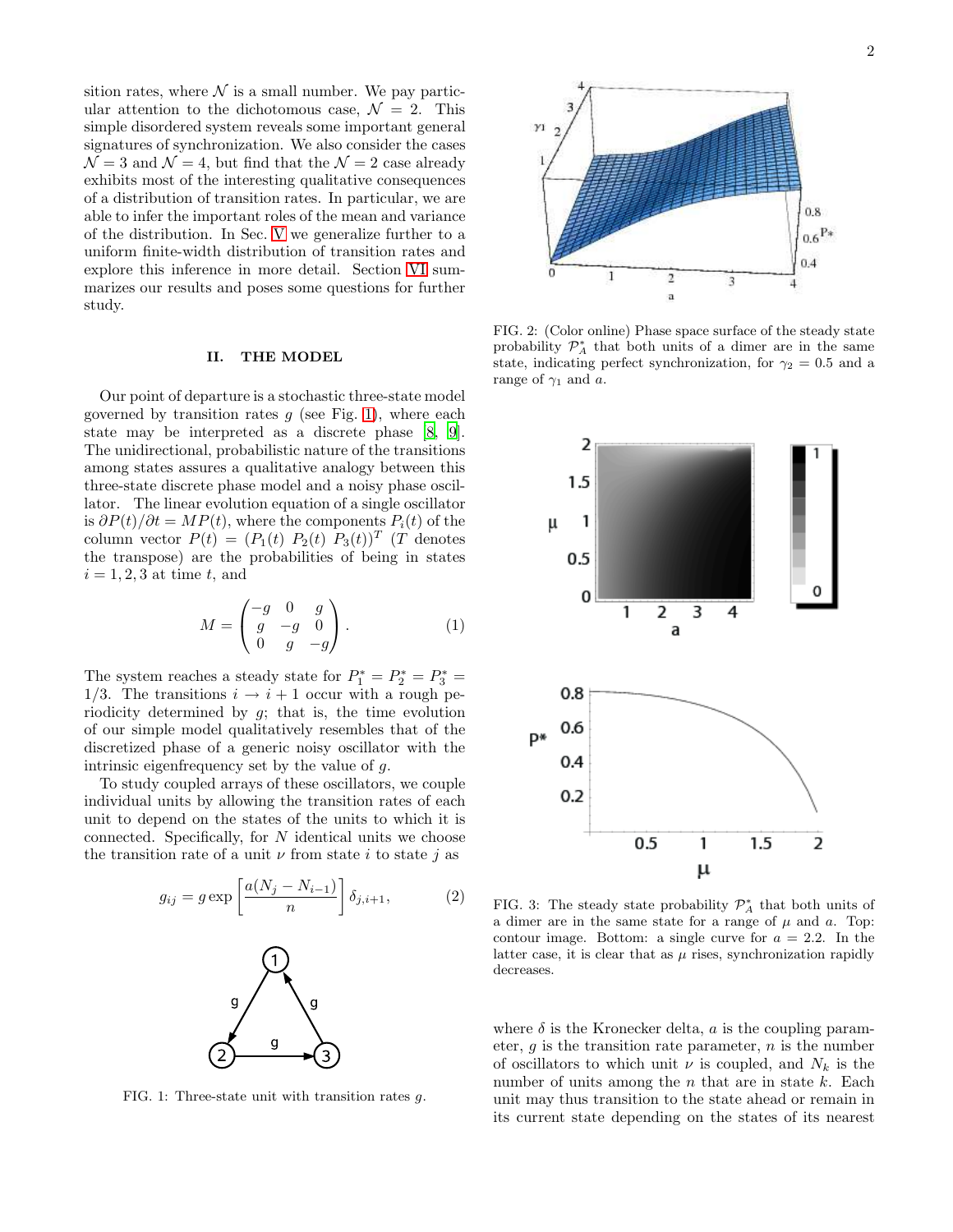sition rates, where  $\mathcal N$  is a small number. We pay particular attention to the dichotomous case,  $\mathcal{N} = 2$ . This simple disordered system reveals some important general signatures of synchronization. We also consider the cases  $\mathcal{N} = 3$  and  $\mathcal{N} = 4$ , but find that the  $\mathcal{N} = 2$  case already exhibits most of the interesting qualitative consequences of a distribution of transition rates. In particular, we are able to infer the important roles of the mean and variance of the distribution. In Sec. [V](#page-8-0) we generalize further to a uniform finite-width distribution of transition rates and explore this inference in more detail. Section [VI](#page-10-11) summarizes our results and poses some questions for further study.

### <span id="page-1-0"></span>II. THE MODEL

Our point of departure is a stochastic three-state model governed by transition rates  $g$  (see Fig. [1\)](#page-1-1), where each state may be interpreted as a discrete phase [\[8](#page-10-7), [9\]](#page-10-8). The unidirectional, probabilistic nature of the transitions among states assures a qualitative analogy between this three-state discrete phase model and a noisy phase oscillator. The linear evolution equation of a single oscillator is  $\partial P(t)/\partial t = MP(t)$ , where the components  $P_i(t)$  of the column vector  $P(t) = (P_1(t) P_2(t) P_3(t))^T$  (T denotes the transpose) are the probabilities of being in states  $i = 1, 2, 3$  at time t, and

$$
M = \begin{pmatrix} -g & 0 & g \\ g & -g & 0 \\ 0 & g & -g \end{pmatrix}.
$$
 (1)

The system reaches a steady state for  $P_1^* = P_2^* = P_3^* =$ 1/3. The transitions  $i \rightarrow i+1$  occur with a rough periodicity determined by g; that is, the time evolution of our simple model qualitatively resembles that of the discretized phase of a generic noisy oscillator with the intrinsic eigenfrequency set by the value of g.

To study coupled arrays of these oscillators, we couple individual units by allowing the transition rates of each unit to depend on the states of the units to which it is connected. Specifically, for N identical units we choose the transition rate of a unit  $\nu$  from state i to state j as

<span id="page-1-2"></span>

<span id="page-1-1"></span>FIG. 1: Three-state unit with transition rates g.



3

 $0.4$ 

<span id="page-1-3"></span>FIG. 2: (Color online) Phase space surface of the steady state probability  $\mathcal{P}_{A}^{*}$  that both units of a dimer are in the same state, indicating perfect synchronization, for  $\gamma_2 = 0.5$  and a range of  $\gamma_1$  and a.

 $\overline{c}$ 

 $\mathbf{a}$ 

ı



FIG. 3: The steady state probability  $\mathcal{P}_{A}^{*}$  that both units of a dimer are in the same state for a range of  $\mu$  and  $\alpha$ . Top: contour image. Bottom: a single curve for  $a = 2.2$ . In the latter case, it is clear that as  $\mu$  rises, synchronization rapidly decreases.

where  $\delta$  is the Kronecker delta, a is the coupling parameter,  $q$  is the transition rate parameter,  $n$  is the number of oscillators to which unit  $\nu$  is coupled, and  $N_k$  is the number of units among the  $n$  that are in state  $k$ . Each unit may thus transition to the state ahead or remain in its current state depending on the states of its nearest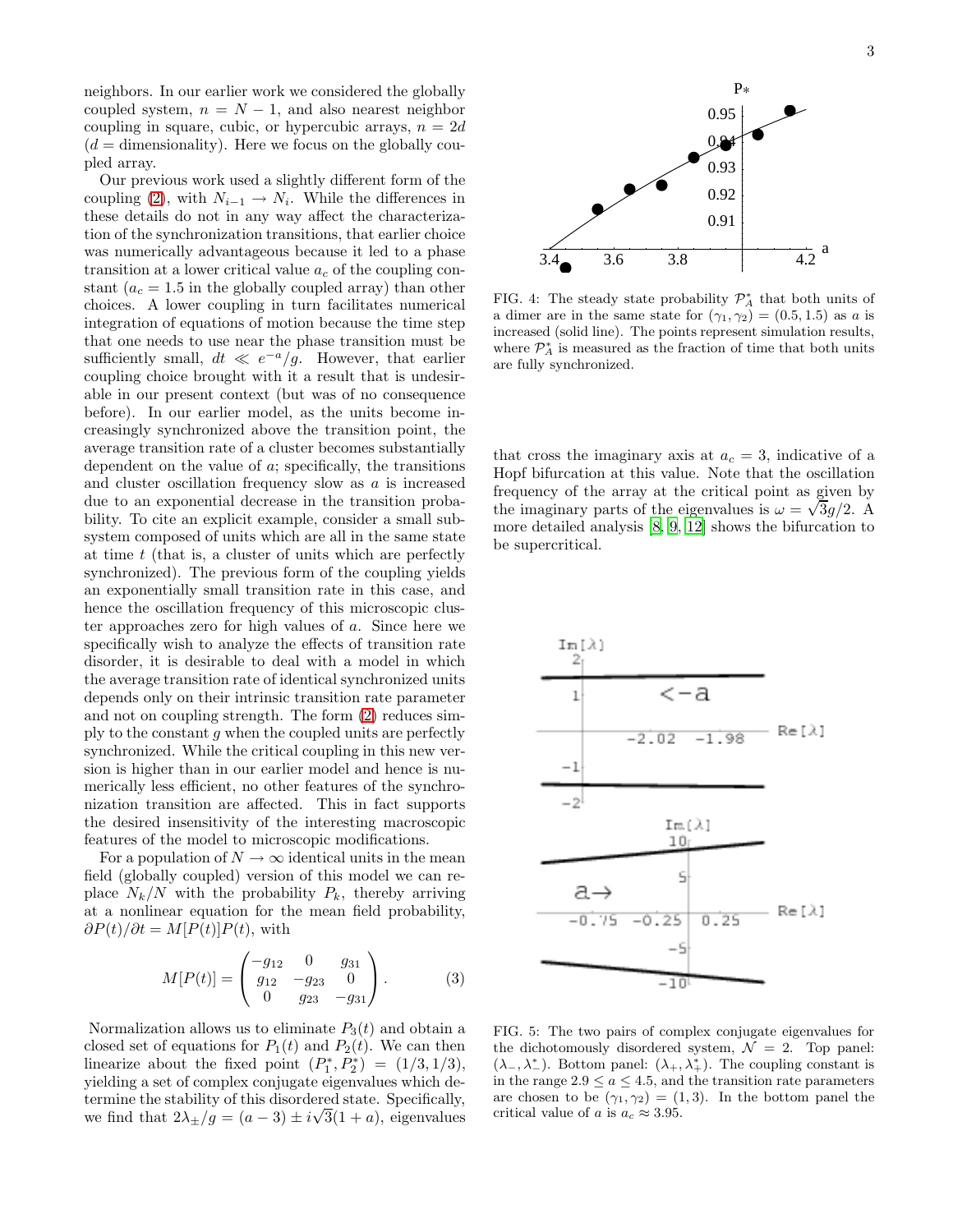neighbors. In our earlier work we considered the globally coupled system,  $n = N - 1$ , and also nearest neighbor coupling in square, cubic, or hypercubic arrays,  $n = 2d$  $(d =$  dimensionality). Here we focus on the globally coupled array.

Our previous work used a slightly different form of the coupling [\(2\)](#page-1-2), with  $N_{i-1} \rightarrow N_i$ . While the differences in these details do not in any way affect the characterization of the synchronization transitions, that earlier choice was numerically advantageous because it led to a phase transition at a lower critical value  $a_c$  of the coupling constant  $(a_c = 1.5$  in the globally coupled array) than other choices. A lower coupling in turn facilitates numerical integration of equations of motion because the time step that one needs to use near the phase transition must be sufficiently small,  $dt \ll e^{-a}/g$ . However, that earlier coupling choice brought with it a result that is undesirable in our present context (but was of no consequence before). In our earlier model, as the units become increasingly synchronized above the transition point, the average transition rate of a cluster becomes substantially dependent on the value of a; specifically, the transitions and cluster oscillation frequency slow as a is increased due to an exponential decrease in the transition probability. To cite an explicit example, consider a small subsystem composed of units which are all in the same state at time  $t$  (that is, a cluster of units which are perfectly synchronized). The previous form of the coupling yields an exponentially small transition rate in this case, and hence the oscillation frequency of this microscopic cluster approaches zero for high values of a. Since here we specifically wish to analyze the effects of transition rate disorder, it is desirable to deal with a model in which the average transition rate of identical synchronized units depends only on their intrinsic transition rate parameter and not on coupling strength. The form [\(2\)](#page-1-2) reduces simply to the constant g when the coupled units are perfectly synchronized. While the critical coupling in this new version is higher than in our earlier model and hence is numerically less efficient, no other features of the synchronization transition are affected. This in fact supports the desired insensitivity of the interesting macroscopic features of the model to microscopic modifications.

For a population of  $N \to \infty$  identical units in the mean field (globally coupled) version of this model we can replace  $N_k/N$  with the probability  $P_k$ , thereby arriving at a nonlinear equation for the mean field probability,  $\partial P(t)/\partial t = M[P(t)]P(t)$ , with

$$
M[P(t)] = \begin{pmatrix} -g_{12} & 0 & g_{31} \\ g_{12} & -g_{23} & 0 \\ 0 & g_{23} & -g_{31} \end{pmatrix}.
$$
 (3)

Normalization allows us to eliminate  $P_3(t)$  and obtain a closed set of equations for  $P_1(t)$  and  $P_2(t)$ . We can then linearize about the fixed point  $(P_1^*, P_2^*) = (1/3, 1/3),$ yielding a set of complex conjugate eigenvalues which determine the stability of this disordered state. Specifically, we find that  $2\lambda_{\pm}/g = (a-3) \pm i\sqrt{3}(1+a)$ , eigenvalues



<span id="page-2-0"></span>FIG. 4: The steady state probability  $\mathcal{P}_{A}^{*}$  that both units of a dimer are in the same state for  $(\gamma_1, \gamma_2) = (0.5, 1.5)$  as a is increased (solid line). The points represent simulation results, where  $\mathcal{P}_A^*$  is measured as the fraction of time that both units are fully synchronized.

that cross the imaginary axis at  $a_c = 3$ , indicative of a Hopf bifurcation at this value. Note that the oscillation frequency of the array at the critical point as given by the imaginary parts of the eigenvalues is  $\omega = \sqrt{3g/2}$ . A more detailed analysis [\[8](#page-10-7), [9](#page-10-8), [12](#page-10-12)] shows the bifurcation to be supercritical.



<span id="page-2-1"></span>FIG. 5: The two pairs of complex conjugate eigenvalues for the dichotomously disordered system,  $\mathcal{N} = 2$ . Top panel:  $(\lambda_-, \lambda_-^*)$ . Bottom panel:  $(\lambda_+, \lambda_+^*)$ . The coupling constant is in the range  $2.9 \le a \le 4.5$ , and the transition rate parameters are chosen to be  $(\gamma_1, \gamma_2) = (1, 3)$ . In the bottom panel the critical value of a is  $a_c \approx 3.95$ .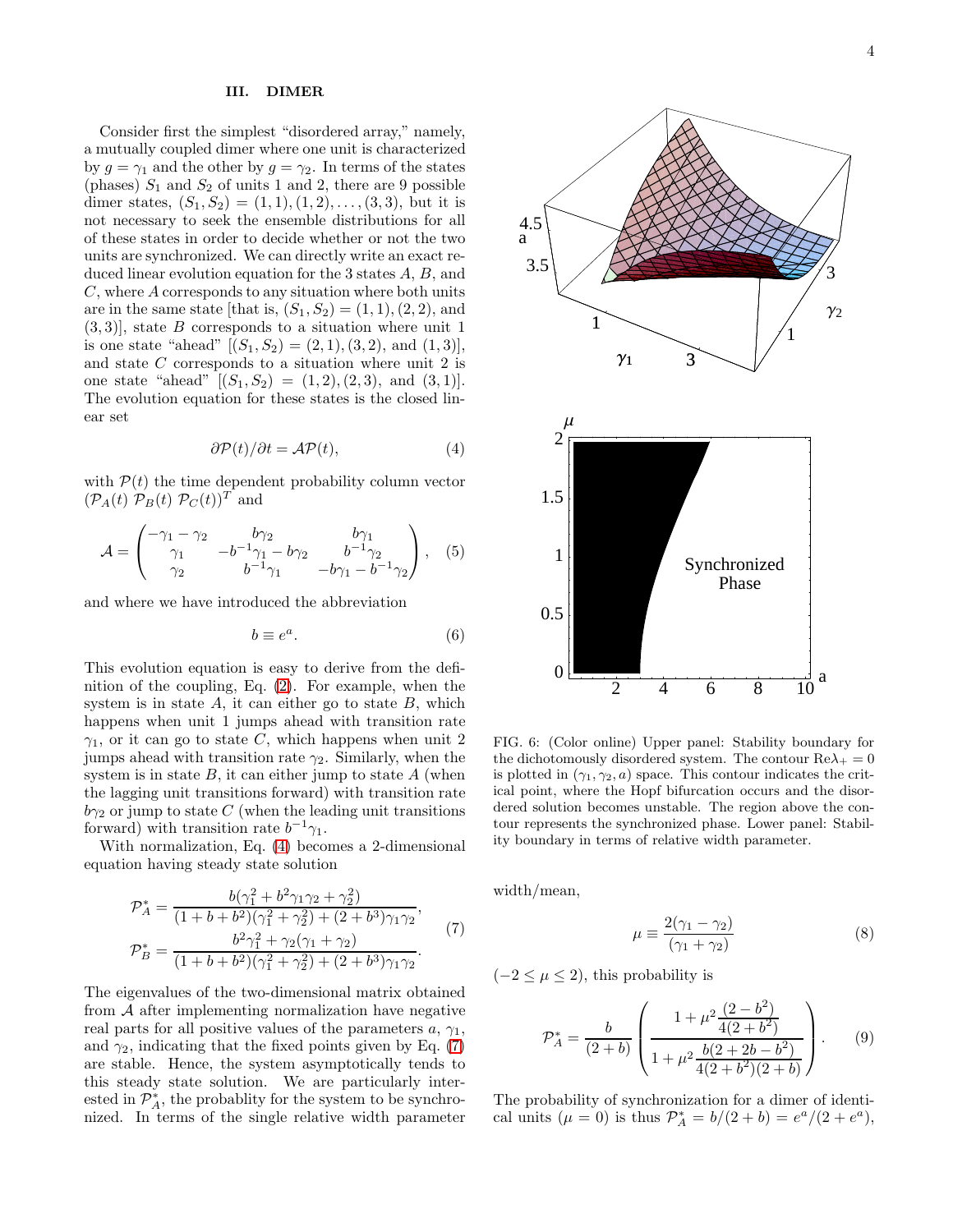### <span id="page-3-0"></span>III. DIMER

Consider first the simplest "disordered array," namely, a mutually coupled dimer where one unit is characterized by  $g = \gamma_1$  and the other by  $g = \gamma_2$ . In terms of the states (phases)  $S_1$  and  $S_2$  of units 1 and 2, there are 9 possible dimer states,  $(S_1, S_2) = (1, 1), (1, 2), \ldots, (3, 3)$ , but it is not necessary to seek the ensemble distributions for all of these states in order to decide whether or not the two units are synchronized. We can directly write an exact reduced linear evolution equation for the 3 states A, B, and C, where A corresponds to any situation where both units are in the same state [that is,  $(S_1, S_2) = (1, 1), (2, 2),$  and  $(3, 3)$ , state B corresponds to a situation where unit 1 is one state "ahead"  $[(S_1, S_2) = (2, 1), (3, 2),$  and  $(1, 3)],$ and state C corresponds to a situation where unit 2 is one state "ahead"  $[(S_1, S_2) = (1, 2), (2, 3), \text{ and } (3, 1)].$ The evolution equation for these states is the closed linear set

<span id="page-3-1"></span>
$$
\partial \mathcal{P}(t) / \partial t = \mathcal{AP}(t),\tag{4}
$$

with  $P(t)$  the time dependent probability column vector  $(\mathcal{P}_A(t) \mathcal{P}_B(t) \mathcal{P}_C(t))^T$  and

$$
\mathcal{A} = \begin{pmatrix} -\gamma_1 - \gamma_2 & b\gamma_2 & b\gamma_1 \\ \gamma_1 & -b^{-1}\gamma_1 - b\gamma_2 & b^{-1}\gamma_2 \\ \gamma_2 & b^{-1}\gamma_1 & -b\gamma_1 - b^{-1}\gamma_2 \end{pmatrix}, \quad (5)
$$

and where we have introduced the abbreviation

$$
b \equiv e^a. \tag{6}
$$

This evolution equation is easy to derive from the definition of the coupling, Eq. [\(2\)](#page-1-2). For example, when the system is in state  $A$ , it can either go to state  $B$ , which happens when unit 1 jumps ahead with transition rate  $\gamma_1$ , or it can go to state C, which happens when unit 2 jumps ahead with transition rate  $\gamma_2$ . Similarly, when the system is in state  $B$ , it can either jump to state  $A$  (when the lagging unit transitions forward) with transition rate  $b\gamma_2$  or jump to state C (when the leading unit transitions forward) with transition rate  $b^{-1}\gamma_1$ .

With normalization, Eq. [\(4\)](#page-3-1) becomes a 2-dimensional equation having steady state solution

<span id="page-3-2"></span>
$$
\mathcal{P}_A^* = \frac{b(\gamma_1^2 + b^2\gamma_1\gamma_2 + \gamma_2^2)}{(1 + b + b^2)(\gamma_1^2 + \gamma_2^2) + (2 + b^3)\gamma_1\gamma_2},
$$
\n
$$
\mathcal{P}_B^* = \frac{b^2\gamma_1^2 + \gamma_2(\gamma_1 + \gamma_2)}{(1 + b + b^2)(\gamma_1^2 + \gamma_2^2) + (2 + b^3)\gamma_1\gamma_2}.
$$
\n(7)

The eigenvalues of the two-dimensional matrix obtained from  $A$  after implementing normalization have negative real parts for all positive values of the parameters  $a, \gamma_1$ , and  $\gamma_2$ , indicating that the fixed points given by Eq. [\(7\)](#page-3-2) are stable. Hence, the system asymptotically tends to this steady state solution. We are particularly interested in  $\mathcal{P}_{A}^{*}$ , the probablity for the system to be synchronized. In terms of the single relative width parameter



<span id="page-3-4"></span>FIG. 6: (Color online) Upper panel: Stability boundary for the dichotomously disordered system. The contour  $\text{Re}\lambda_+ = 0$ is plotted in  $(\gamma_1, \gamma_2, a)$  space. This contour indicates the critical point, where the Hopf bifurcation occurs and the disordered solution becomes unstable. The region above the contour represents the synchronized phase. Lower panel: Stability boundary in terms of relative width parameter.

width/mean,

<span id="page-3-3"></span>
$$
\mu \equiv \frac{2(\gamma_1 - \gamma_2)}{(\gamma_1 + \gamma_2)}\tag{8}
$$

 $(-2 \leq \mu \leq 2)$ , this probability is

$$
\mathcal{P}_A^* = \frac{b}{(2+b)} \left( \frac{1 + \mu^2 \frac{(2-b^2)}{4(2+b^2)}}{1 + \mu^2 \frac{b(2+2b-b^2)}{4(2+b^2)(2+b)}} \right). \tag{9}
$$

The probability of synchronization for a dimer of identical units  $(\mu = 0)$  is thus  $\mathcal{P}_A^* = b/(2 + b) = e^a/(2 + e^a)$ ,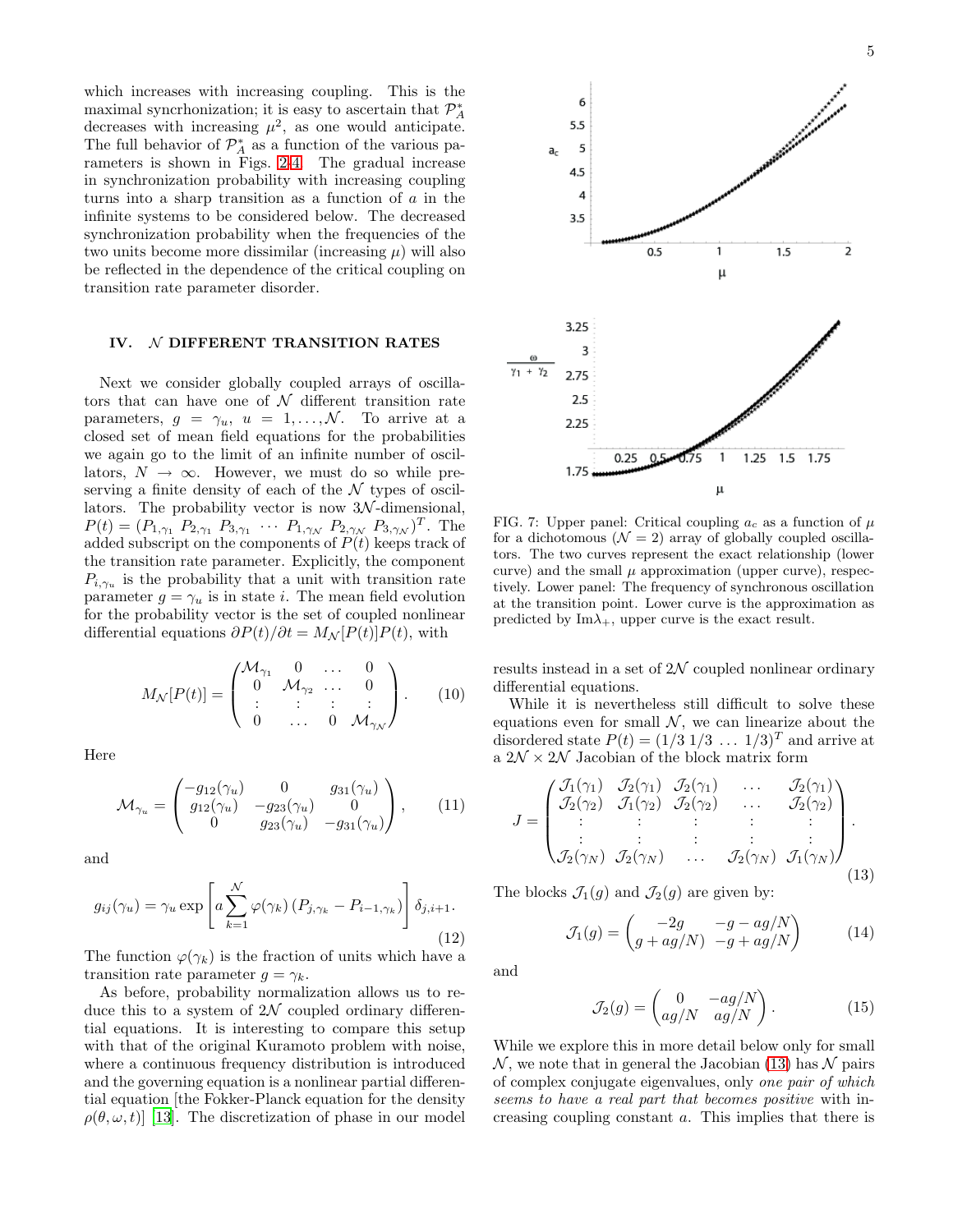which increases with increasing coupling. This is the maximal syncrhonization; it is easy to ascertain that  $\mathcal{P}_A^*$ decreases with increasing  $\mu^2$ , as one would anticipate. The full behavior of  $\mathcal{P}_{A}^{*}$  as a function of the various parameters is shown in Figs. [2](#page-1-3)[-4.](#page-2-0) The gradual increase in synchronization probability with increasing coupling turns into a sharp transition as a function of a in the infinite systems to be considered below. The decreased synchronization probability when the frequencies of the two units become more dissimilar (increasing  $\mu$ ) will also be reflected in the dependence of the critical coupling on transition rate parameter disorder.

## <span id="page-4-0"></span>IV. N DIFFERENT TRANSITION RATES

Next we consider globally coupled arrays of oscillators that can have one of  $N$  different transition rate parameters,  $g = \gamma_u$ ,  $u = 1, ..., \mathcal{N}$ . To arrive at a closed set of mean field equations for the probabilities we again go to the limit of an infinite number of oscillators,  $N \to \infty$ . However, we must do so while preserving a finite density of each of the  $\mathcal N$  types of oscillators. The probability vector is now  $3\mathcal{N}$ -dimensional,  $P(t) = (P_{1,\gamma_1} P_{2,\gamma_1} P_{3,\gamma_1} \cdots P_{1,\gamma_N} P_{2,\gamma_N} P_{3,\gamma_N})^T$ . The added subscript on the components of  $P(t)$  keeps track of the transition rate parameter. Explicitly, the component  $P_{i,\gamma_u}$  is the probability that a unit with transition rate parameter  $g = \gamma_u$  is in state *i*. The mean field evolution for the probability vector is the set of coupled nonlinear differential equations  $\partial P(t)/\partial t = M_{\mathcal{N}}[P(t)]P(t)$ , with

$$
M_{\mathcal{N}}[P(t)] = \begin{pmatrix} \mathcal{M}_{\gamma_1} & 0 & \dots & 0 \\ 0 & \mathcal{M}_{\gamma_2} & \dots & 0 \\ \vdots & \vdots & \vdots & \vdots \\ 0 & \dots & 0 & \mathcal{M}_{\gamma_{\mathcal{N}}} \end{pmatrix} . \tag{10}
$$

Here

$$
\mathcal{M}_{\gamma_u} = \begin{pmatrix} -g_{12}(\gamma_u) & 0 & g_{31}(\gamma_u) \\ g_{12}(\gamma_u) & -g_{23}(\gamma_u) & 0 \\ 0 & g_{23}(\gamma_u) & -g_{31}(\gamma_u) \end{pmatrix}, \qquad (11)
$$

and

$$
g_{ij}(\gamma_u) = \gamma_u \exp\left[a \sum_{k=1}^{N} \varphi(\gamma_k) (P_{j,\gamma_k} - P_{i-1,\gamma_k})\right] \delta_{j,i+1}.
$$
\n(12)

The function  $\varphi(\gamma_k)$  is the fraction of units which have a transition rate parameter  $g = \gamma_k$ .

As before, probability normalization allows us to reduce this to a system of  $2\mathcal{N}$  coupled ordinary differential equations. It is interesting to compare this setup with that of the original Kuramoto problem with noise, where a continuous frequency distribution is introduced and the governing equation is a nonlinear partial differential equation [the Fokker-Planck equation for the density  $\rho(\theta,\omega,t)$  [\[13\]](#page-11-0). The discretization of phase in our model



<span id="page-4-2"></span>FIG. 7: Upper panel: Critical coupling  $a_c$  as a function of  $\mu$ for a dichotomous  $(\mathcal{N} = 2)$  array of globally coupled oscillators. The two curves represent the exact relationship (lower curve) and the small  $\mu$  approximation (upper curve), respectively. Lower panel: The frequency of synchronous oscillation at the transition point. Lower curve is the approximation as predicted by  $\text{Im}\lambda_+$ , upper curve is the exact result.

results instead in a set of  $2\mathcal{N}$  coupled nonlinear ordinary differential equations.

While it is nevertheless still difficult to solve these equations even for small  $N$ , we can linearize about the disordered state  $P(t) = (1/3 \ 1/3 \ \dots \ 1/3)^T$  and arrive at a $2\mathcal{N}\times2\mathcal{N}$ Jacobian of the block matrix form

<span id="page-4-1"></span>
$$
J = \begin{pmatrix} \mathcal{J}_1(\gamma_1) & \mathcal{J}_2(\gamma_1) & \mathcal{J}_2(\gamma_1) & \dots & \mathcal{J}_2(\gamma_1) \\ \mathcal{J}_2(\gamma_2) & \mathcal{J}_1(\gamma_2) & \mathcal{J}_2(\gamma_2) & \dots & \mathcal{J}_2(\gamma_2) \\ \vdots & \vdots & \vdots & \vdots & \vdots \\ \mathcal{J}_2(\gamma_N) & \mathcal{J}_2(\gamma_N) & \dots & \mathcal{J}_2(\gamma_N) & \mathcal{J}_1(\gamma_N) \end{pmatrix} .
$$
\n(13)

The blocks  $\mathcal{J}_1(q)$  and  $\mathcal{J}_2(q)$  are given by:

$$
\mathcal{J}_1(g) = \begin{pmatrix} -2g & -g - ag/N \\ g + ag/N & -g + ag/N \end{pmatrix}
$$
 (14)

and

$$
\mathcal{J}_2(g) = \begin{pmatrix} 0 & -ag/N \\ ag/N & ag/N \end{pmatrix}.
$$
 (15)

While we explore this in more detail below only for small  $\mathcal N$ , we note that in general the Jacobian [\(13\)](#page-4-1) has  $\mathcal N$  pairs of complex conjugate eigenvalues, only one pair of which seems to have a real part that becomes positive with increasing coupling constant a. This implies that there is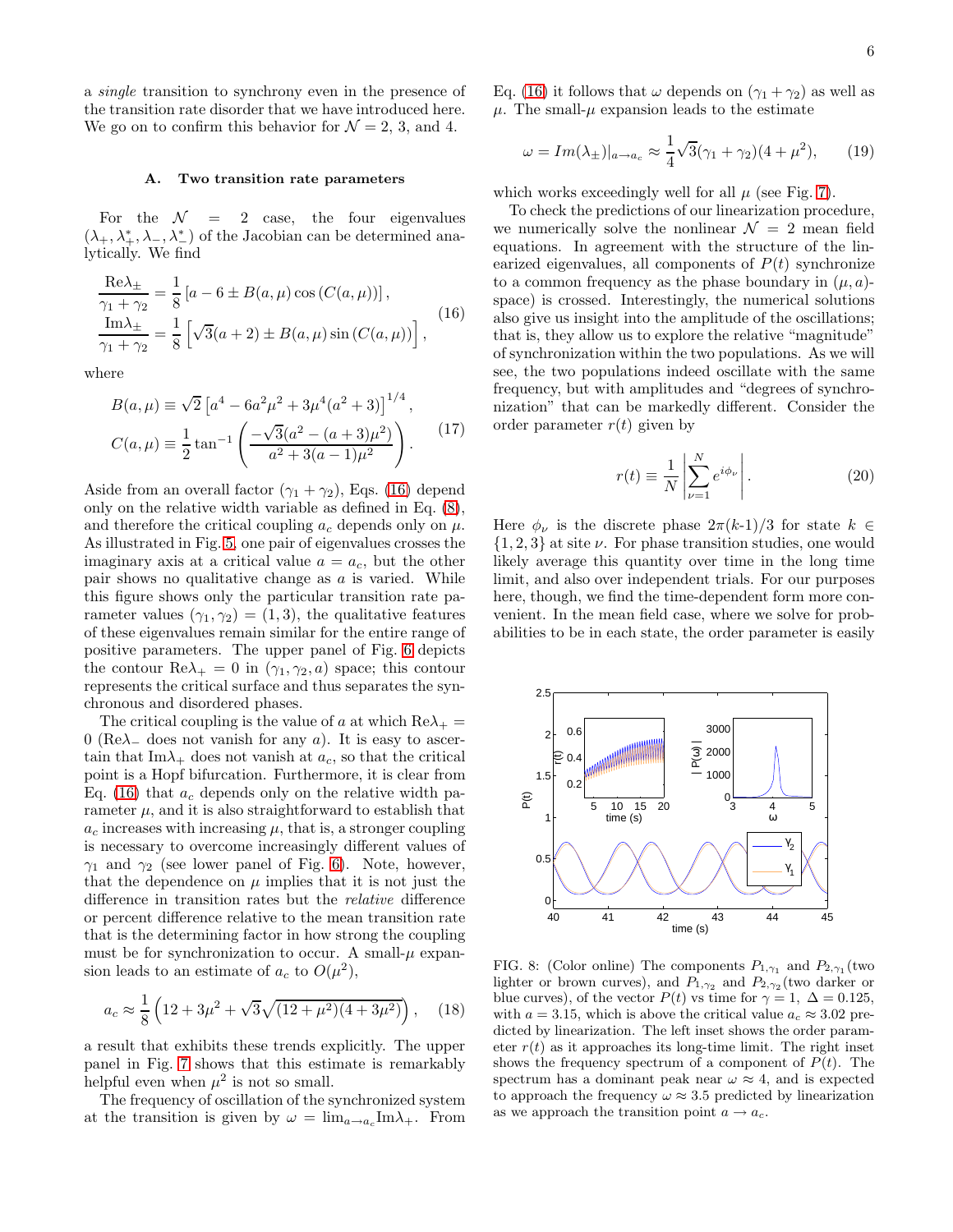a single transition to synchrony even in the presence of the transition rate disorder that we have introduced here. We go on to confirm this behavior for  $\mathcal{N} = 2, 3,$  and 4.

### A. Two transition rate parameters

For the  $\mathcal{N} = 2$  case, the four eigenvalues  $(\lambda_+, \lambda^*, \lambda_-, \lambda^*)$  of the Jacobian can be determined analytically. We find

<span id="page-5-0"></span>
$$
\frac{\text{Re}\lambda_{\pm}}{\gamma_1 + \gamma_2} = \frac{1}{8} \left[ a - 6 \pm B(a, \mu) \cos(C(a, \mu)) \right],
$$
  
\n
$$
\frac{\text{Im}\lambda_{\pm}}{\gamma_1 + \gamma_2} = \frac{1}{8} \left[ \sqrt{3}(a+2) \pm B(a, \mu) \sin(C(a, \mu)) \right],
$$
\n(16)

where

$$
B(a,\mu) \equiv \sqrt{2} \left[ a^4 - 6a^2 \mu^2 + 3\mu^4 (a^2 + 3) \right]^{1/4},
$$
  
\n
$$
C(a,\mu) \equiv \frac{1}{2} \tan^{-1} \left( \frac{-\sqrt{3}(a^2 - (a+3)\mu^2)}{a^2 + 3(a-1)\mu^2} \right).
$$
\n(17)

Aside from an overall factor  $(\gamma_1 + \gamma_2)$ , Eqs. [\(16\)](#page-5-0) depend only on the relative width variable as defined in Eq. [\(8\)](#page-3-3), and therefore the critical coupling  $a_c$  depends only on  $\mu$ . As illustrated in Fig. [5,](#page-2-1) one pair of eigenvalues crosses the imaginary axis at a critical value  $a = a_c$ , but the other pair shows no qualitative change as  $a$  is varied. While this figure shows only the particular transition rate parameter values  $(\gamma_1, \gamma_2) = (1, 3)$ , the qualitative features of these eigenvalues remain similar for the entire range of positive parameters. The upper panel of Fig. [6](#page-3-4) depicts the contour  $\text{Re}\lambda_+ = 0$  in  $(\gamma_1, \gamma_2, a)$  space; this contour represents the critical surface and thus separates the synchronous and disordered phases.

The critical coupling is the value of a at which  $\text{Re}\lambda_+$  = 0 (Re $\lambda$ <sub>-</sub> does not vanish for any a). It is easy to ascertain that Im $\lambda_+$  does not vanish at  $a_c$ , so that the critical point is a Hopf bifurcation. Furthermore, it is clear from Eq. [\(16\)](#page-5-0) that  $a_c$  depends only on the relative width parameter  $\mu$ , and it is also straightforward to establish that  $a_c$  increases with increasing  $\mu$ , that is, a stronger coupling is necessary to overcome increasingly different values of  $\gamma_1$  and  $\gamma_2$  (see lower panel of Fig. [6\)](#page-3-4). Note, however, that the dependence on  $\mu$  implies that it is not just the difference in transition rates but the relative difference or percent difference relative to the mean transition rate that is the determining factor in how strong the coupling must be for synchronization to occur. A small- $\mu$  expansion leads to an estimate of  $a_c$  to  $O(\mu^2)$ ,

$$
a_c \approx \frac{1}{8} \left( 12 + 3\mu^2 + \sqrt{3}\sqrt{(12 + \mu^2)(4 + 3\mu^2)} \right), \quad (18)
$$

a result that exhibits these trends explicitly. The upper panel in Fig. [7](#page-4-2) shows that this estimate is remarkably helpful even when  $\mu^2$  is not so small.

The frequency of oscillation of the synchronized system at the transition is given by  $\omega = \lim_{a \to a_c} \text{Im}\lambda_+$ . From

Eq. [\(16\)](#page-5-0) it follows that  $\omega$  depends on  $(\gamma_1 + \gamma_2)$  as well as  $\mu$ . The small- $\mu$  expansion leads to the estimate

$$
\omega = Im(\lambda_{\pm})|_{a \to a_c} \approx \frac{1}{4}\sqrt{3}(\gamma_1 + \gamma_2)(4 + \mu^2), \qquad (19)
$$

which works exceedingly well for all  $\mu$  (see Fig. [7\)](#page-4-2).

To check the predictions of our linearization procedure, we numerically solve the nonlinear  $\mathcal{N} = 2$  mean field equations. In agreement with the structure of the linearized eigenvalues, all components of  $P(t)$  synchronize to a common frequency as the phase boundary in  $(\mu, a)$ space) is crossed. Interestingly, the numerical solutions also give us insight into the amplitude of the oscillations; that is, they allow us to explore the relative "magnitude" of synchronization within the two populations. As we will see, the two populations indeed oscillate with the same frequency, but with amplitudes and "degrees of synchronization" that can be markedly different. Consider the order parameter  $r(t)$  given by

<span id="page-5-1"></span>
$$
r(t) \equiv \frac{1}{N} \left| \sum_{\nu=1}^{N} e^{i\phi_{\nu}} \right|.
$$
 (20)

Here  $\phi_{\nu}$  is the discrete phase  $2\pi(k-1)/3$  for state  $k \in$  $\{1, 2, 3\}$  at site  $\nu$ . For phase transition studies, one would likely average this quantity over time in the long time limit, and also over independent trials. For our purposes here, though, we find the time-dependent form more convenient. In the mean field case, where we solve for probabilities to be in each state, the order parameter is easily



<span id="page-5-2"></span>FIG. 8: (Color online) The components  $P_{1,\gamma_1}$  and  $P_{2,\gamma_1}$  (two lighter or brown curves), and  $P_{1,\gamma_2}$  and  $P_{2,\gamma_2}$  (two darker or blue curves), of the vector  $P(t)$  vs time for  $\gamma = 1, \ \Delta = 0.125$ , with  $a = 3.15$ , which is above the critical value  $a_c \approx 3.02$  predicted by linearization. The left inset shows the order parameter  $r(t)$  as it approaches its long-time limit. The right inset shows the frequency spectrum of a component of  $P(t)$ . The spectrum has a dominant peak near  $\omega \approx 4$ , and is expected to approach the frequency  $\omega \approx 3.5$  predicted by linearization as we approach the transition point  $a \rightarrow a_c$ .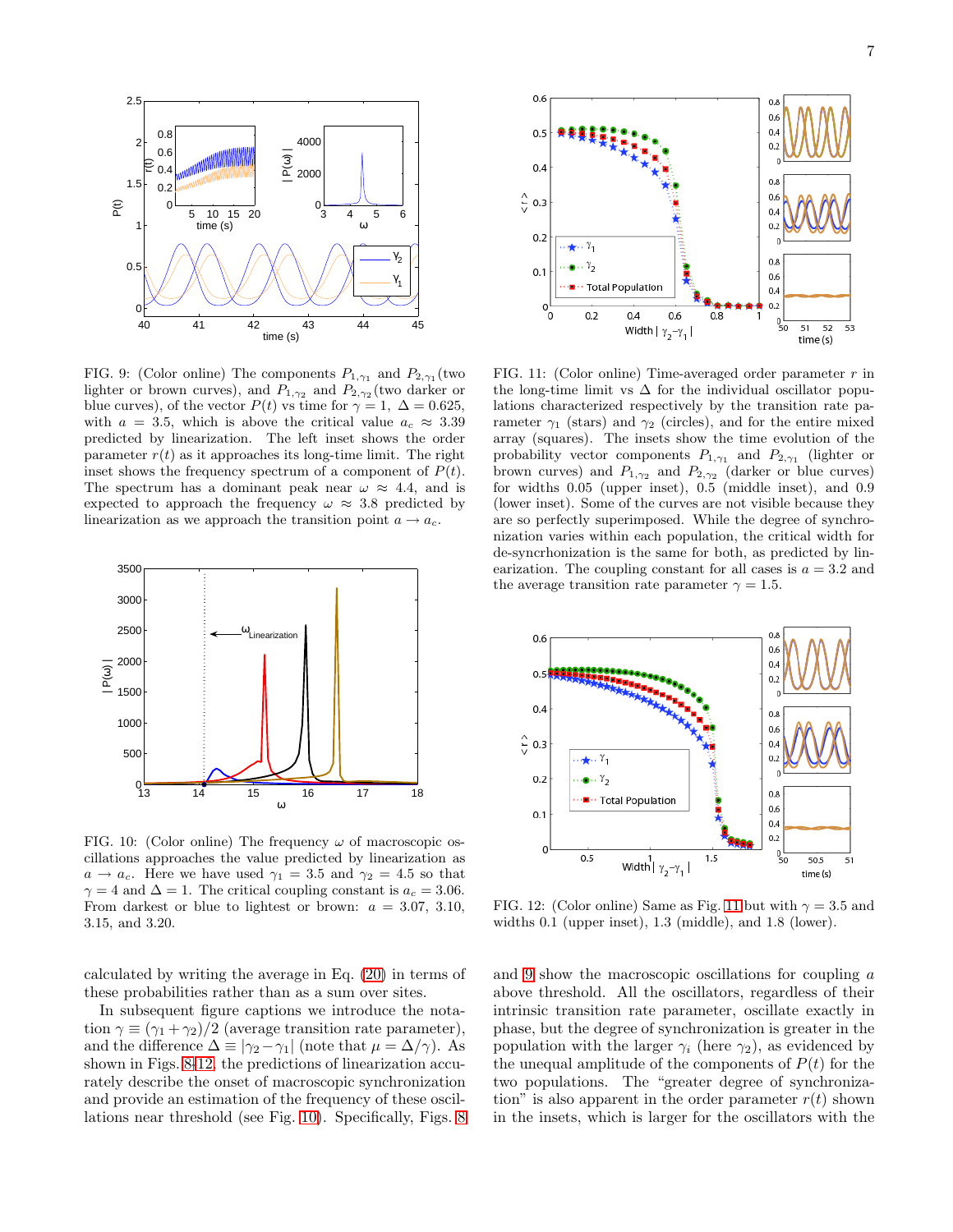

<span id="page-6-3"></span>FIG. 9: (Color online) The components  $P_{1,\gamma_1}$  and  $P_{2,\gamma_1}$  (two lighter or brown curves), and  $P_{1,\gamma_2}$  and  $P_{2,\gamma_2}$  (two darker or blue curves), of the vector  $P(t)$  vs time for  $\gamma = 1, \Delta = 0.625$ , with  $a = 3.5$ , which is above the critical value  $a_c \approx 3.39$ predicted by linearization. The left inset shows the order parameter  $r(t)$  as it approaches its long-time limit. The right inset shows the frequency spectrum of a component of  $P(t)$ . The spectrum has a dominant peak near  $\omega \approx 4.4$ , and is expected to approach the frequency  $\omega \approx 3.8$  predicted by linearization as we approach the transition point  $a \rightarrow a_c$ .



<span id="page-6-1"></span>FIG. 10: (Color online) The frequency  $\omega$  of macroscopic oscillations approaches the value predicted by linearization as  $a \rightarrow a_c$ . Here we have used  $\gamma_1 = 3.5$  and  $\gamma_2 = 4.5$  so that  $\gamma = 4$  and  $\Delta = 1$ . The critical coupling constant is  $a_c = 3.06$ . From darkest or blue to lightest or brown:  $a = 3.07, 3.10,$ 3.15, and 3.20.

calculated by writing the average in Eq. [\(20\)](#page-5-1) in terms of these probabilities rather than as a sum over sites.

In subsequent figure captions we introduce the notation  $\gamma \equiv (\gamma_1 + \gamma_2)/2$  (average transition rate parameter), and the difference  $\Delta \equiv |\gamma_2 - \gamma_1|$  (note that  $\mu = \Delta/\gamma$ ). As shown in Figs. [8](#page-5-2)[-12,](#page-6-0) the predictions of linearization accurately describe the onset of macroscopic synchronization and provide an estimation of the frequency of these oscillations near threshold (see Fig. [10\)](#page-6-1). Specifically, Figs. [8](#page-5-2)



<span id="page-6-2"></span>FIG. 11: (Color online) Time-averaged order parameter  $r$  in the long-time limit vs  $\Delta$  for the individual oscillator populations characterized respectively by the transition rate parameter  $\gamma_1$  (stars) and  $\gamma_2$  (circles), and for the entire mixed array (squares). The insets show the time evolution of the probability vector components  $P_{1,\gamma_1}$  and  $P_{2,\gamma_1}$  (lighter or brown curves) and  $P_{1,\gamma_2}$  and  $P_{2,\gamma_2}$  (darker or blue curves) for widths 0.05 (upper inset), 0.5 (middle inset), and 0.9 (lower inset). Some of the curves are not visible because they are so perfectly superimposed. While the degree of synchronization varies within each population, the critical width for de-syncrhonization is the same for both, as predicted by linearization. The coupling constant for all cases is  $a = 3.2$  and the average transition rate parameter  $\gamma = 1.5$ .



<span id="page-6-0"></span>FIG. 12: (Color online) Same as Fig. [11](#page-6-2) but with  $\gamma = 3.5$  and widths 0.1 (upper inset), 1.3 (middle), and 1.8 (lower).

and [9](#page-6-3) show the macroscopic oscillations for coupling a above threshold. All the oscillators, regardless of their intrinsic transition rate parameter, oscillate exactly in phase, but the degree of synchronization is greater in the population with the larger  $\gamma_i$  (here  $\gamma_2$ ), as evidenced by the unequal amplitude of the components of  $P(t)$  for the two populations. The "greater degree of synchronization" is also apparent in the order parameter  $r(t)$  shown in the insets, which is larger for the oscillators with the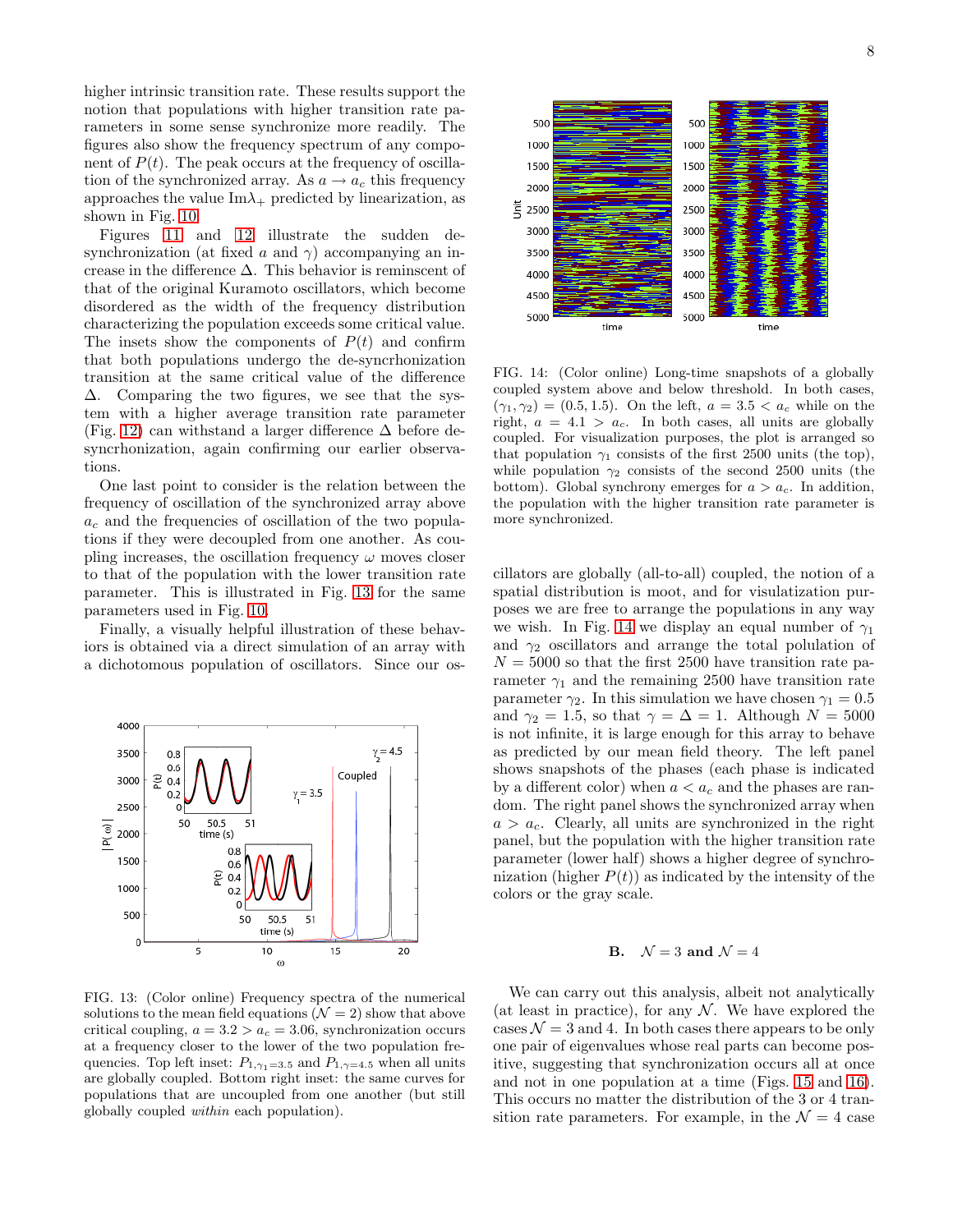higher intrinsic transition rate. These results support the notion that populations with higher transition rate parameters in some sense synchronize more readily. The figures also show the frequency spectrum of any component of  $P(t)$ . The peak occurs at the frequency of oscillation of the synchronized array. As  $a \rightarrow a_c$  this frequency approaches the value  $\text{Im}\lambda_+$  predicted by linearization, as shown in Fig. [10.](#page-6-1)

Figures [11](#page-6-2) and [12](#page-6-0) illustrate the sudden desynchronization (at fixed a and  $\gamma$ ) accompanying an increase in the difference  $\Delta$ . This behavior is reminscent of that of the original Kuramoto oscillators, which become disordered as the width of the frequency distribution characterizing the population exceeds some critical value. The insets show the components of  $P(t)$  and confirm that both populations undergo the de-syncrhonization transition at the same critical value of the difference ∆. Comparing the two figures, we see that the system with a higher average transition rate parameter (Fig. [12\)](#page-6-0) can withstand a larger difference  $\Delta$  before desyncrhonization, again confirming our earlier observations.

One last point to consider is the relation between the frequency of oscillation of the synchronized array above  $a<sub>c</sub>$  and the frequencies of oscillation of the two populations if they were decoupled from one another. As coupling increases, the oscillation frequency  $\omega$  moves closer to that of the population with the lower transition rate parameter. This is illustrated in Fig. [13](#page-7-0) for the same parameters used in Fig. [10.](#page-6-1)

Finally, a visually helpful illustration of these behaviors is obtained via a direct simulation of an array with a dichotomous population of oscillators. Since our os-



<span id="page-7-0"></span>FIG. 13: (Color online) Frequency spectra of the numerical solutions to the mean field equations  $(\mathcal{N} = 2)$  show that above critical coupling,  $a = 3.2 > a_c = 3.06$ , synchronization occurs at a frequency closer to the lower of the two population frequencies. Top left inset:  $P_{1,\gamma_1=3.5}$  and  $P_{1,\gamma=4.5}$  when all units are globally coupled. Bottom right inset: the same curves for populations that are uncoupled from one another (but still globally coupled within each population).



<span id="page-7-1"></span>FIG. 14: (Color online) Long-time snapshots of a globally coupled system above and below threshold. In both cases,  $(\gamma_1, \gamma_2) = (0.5, 1.5)$ . On the left,  $a = 3.5 < a_c$  while on the right,  $a = 4.1 > a_c$ . In both cases, all units are globally coupled. For visualization purposes, the plot is arranged so that population  $\gamma_1$  consists of the first 2500 units (the top), while population  $\gamma_2$  consists of the second 2500 units (the bottom). Global synchrony emerges for  $a > a_c$ . In addition, the population with the higher transition rate parameter is more synchronized.

cillators are globally (all-to-all) coupled, the notion of a spatial distribution is moot, and for visulatization purposes we are free to arrange the populations in any way we wish. In Fig. [14](#page-7-1) we display an equal number of  $\gamma_1$ and  $\gamma_2$  oscillators and arrange the total polulation of  $N = 5000$  so that the first 2500 have transition rate parameter  $\gamma_1$  and the remaining 2500 have transition rate parameter  $\gamma_2$ . In this simulation we have chosen  $\gamma_1 = 0.5$ and  $\gamma_2 = 1.5$ , so that  $\gamma = \Delta = 1$ . Although  $N = 5000$ is not infinite, it is large enough for this array to behave as predicted by our mean field theory. The left panel shows snapshots of the phases (each phase is indicated by a different color) when  $a < a_c$  and the phases are random. The right panel shows the synchronized array when  $a > a_c$ . Clearly, all units are synchronized in the right panel, but the population with the higher transition rate parameter (lower half) shows a higher degree of synchronization (higher  $P(t)$ ) as indicated by the intensity of the colors or the gray scale.

# **B.**  $\mathcal{N} = 3$  and  $\mathcal{N} = 4$

We can carry out this analysis, albeit not analytically (at least in practice), for any  $N$ . We have explored the cases  $\mathcal{N} = 3$  and 4. In both cases there appears to be only one pair of eigenvalues whose real parts can become positive, suggesting that synchronization occurs all at once and not in one population at a time (Figs. [15](#page-8-1) and [16\)](#page-9-0). This occurs no matter the distribution of the 3 or 4 transition rate parameters. For example, in the  $\mathcal{N}=4$  case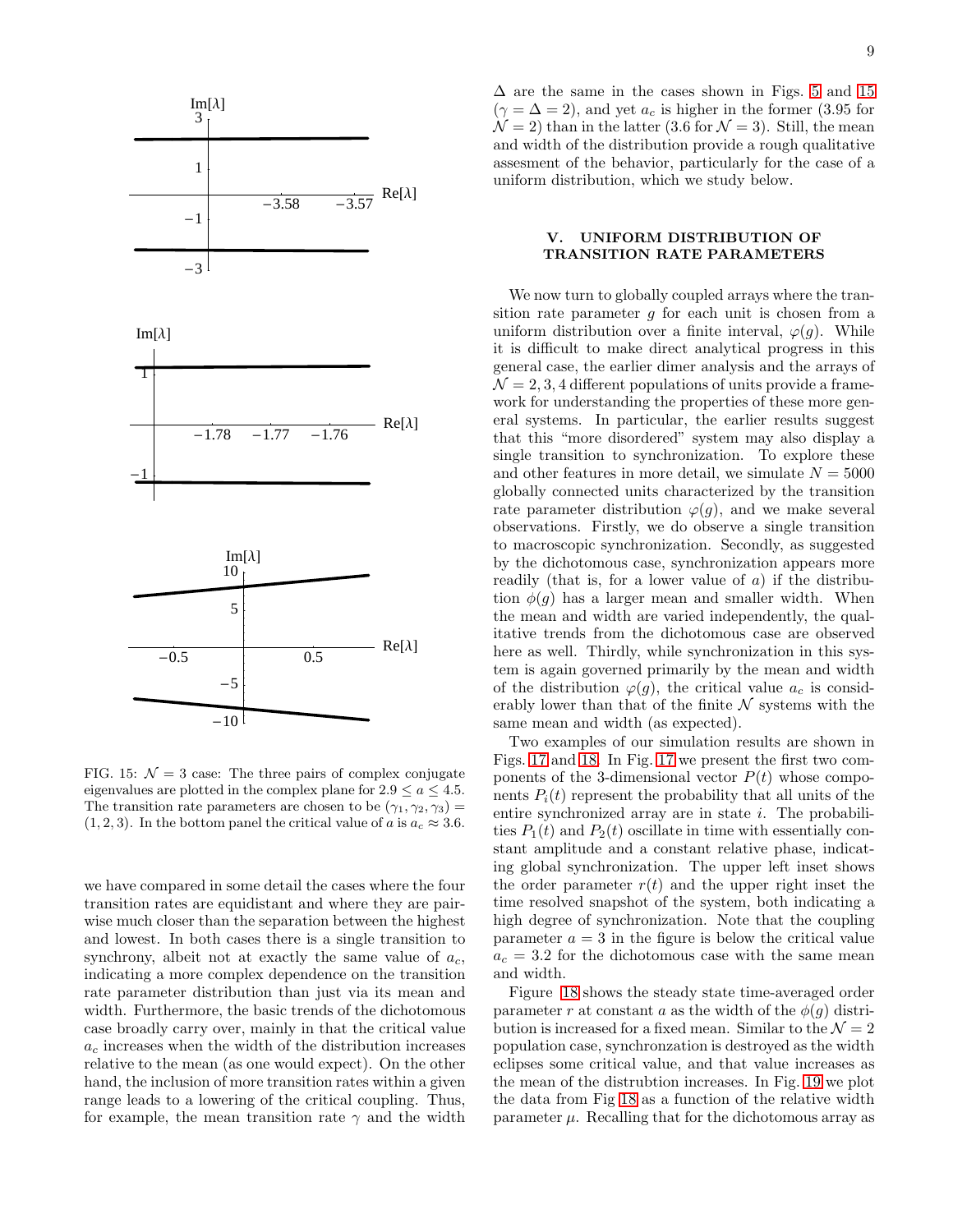

<span id="page-8-1"></span>FIG. 15:  $\mathcal{N} = 3$  case: The three pairs of complex conjugate eigenvalues are plotted in the complex plane for  $2.9 \le a \le 4.5$ . The transition rate parameters are chosen to be  $(\gamma_1, \gamma_2, \gamma_3)$  =  $(1, 2, 3)$ . In the bottom panel the critical value of a is  $a_c \approx 3.6$ .

we have compared in some detail the cases where the four transition rates are equidistant and where they are pairwise much closer than the separation between the highest and lowest. In both cases there is a single transition to synchrony, albeit not at exactly the same value of  $a_c$ , indicating a more complex dependence on the transition rate parameter distribution than just via its mean and width. Furthermore, the basic trends of the dichotomous case broadly carry over, mainly in that the critical value  $a<sub>c</sub>$  increases when the width of the distribution increases relative to the mean (as one would expect). On the other hand, the inclusion of more transition rates within a given range leads to a lowering of the critical coupling. Thus, for example, the mean transition rate  $\gamma$  and the width

 $\Delta$  are the same in the cases shown in Figs. [5](#page-2-1) and [15](#page-8-1)  $(\gamma = \Delta = 2)$ , and yet  $a_c$  is higher in the former (3.95 for  $\mathcal{N} = 2$ ) than in the latter (3.6 for  $\mathcal{N} = 3$ ). Still, the mean and width of the distribution provide a rough qualitative assesment of the behavior, particularly for the case of a uniform distribution, which we study below.

# <span id="page-8-0"></span>V. UNIFORM DISTRIBUTION OF TRANSITION RATE PARAMETERS

We now turn to globally coupled arrays where the transition rate parameter  $g$  for each unit is chosen from a uniform distribution over a finite interval,  $\varphi(q)$ . While it is difficult to make direct analytical progress in this general case, the earlier dimer analysis and the arrays of  $\mathcal{N} = 2, 3, 4$  different populations of units provide a framework for understanding the properties of these more general systems. In particular, the earlier results suggest that this "more disordered" system may also display a single transition to synchronization. To explore these and other features in more detail, we simulate  $N = 5000$ globally connected units characterized by the transition rate parameter distribution  $\varphi(q)$ , and we make several observations. Firstly, we do observe a single transition to macroscopic synchronization. Secondly, as suggested by the dichotomous case, synchronization appears more readily (that is, for a lower value of  $a$ ) if the distribution  $\phi(g)$  has a larger mean and smaller width. When the mean and width are varied independently, the qualitative trends from the dichotomous case are observed here as well. Thirdly, while synchronization in this system is again governed primarily by the mean and width of the distribution  $\varphi(g)$ , the critical value  $a_c$  is considerably lower than that of the finite  $N$  systems with the same mean and width (as expected).

Two examples of our simulation results are shown in Figs. [17](#page-9-1) and [18.](#page-9-2) In Fig. [17](#page-9-1) we present the first two components of the 3-dimensional vector  $P(t)$  whose components  $P_i(t)$  represent the probability that all units of the entire synchronized array are in state i. The probabilities  $P_1(t)$  and  $P_2(t)$  oscillate in time with essentially constant amplitude and a constant relative phase, indicating global synchronization. The upper left inset shows the order parameter  $r(t)$  and the upper right inset the time resolved snapshot of the system, both indicating a high degree of synchronization. Note that the coupling parameter  $a = 3$  in the figure is below the critical value  $a_c = 3.2$  for the dichotomous case with the same mean and width.

Figure [18](#page-9-2) shows the steady state time-averaged order parameter r at constant a as the width of the  $\phi(g)$  distribution is increased for a fixed mean. Similar to the  $\mathcal{N}=2$ population case, synchronzation is destroyed as the width eclipses some critical value, and that value increases as the mean of the distrubtion increases. In Fig. [19](#page-10-13) we plot the data from Fig [18](#page-9-2) as a function of the relative width parameter  $\mu$ . Recalling that for the dichotomous array as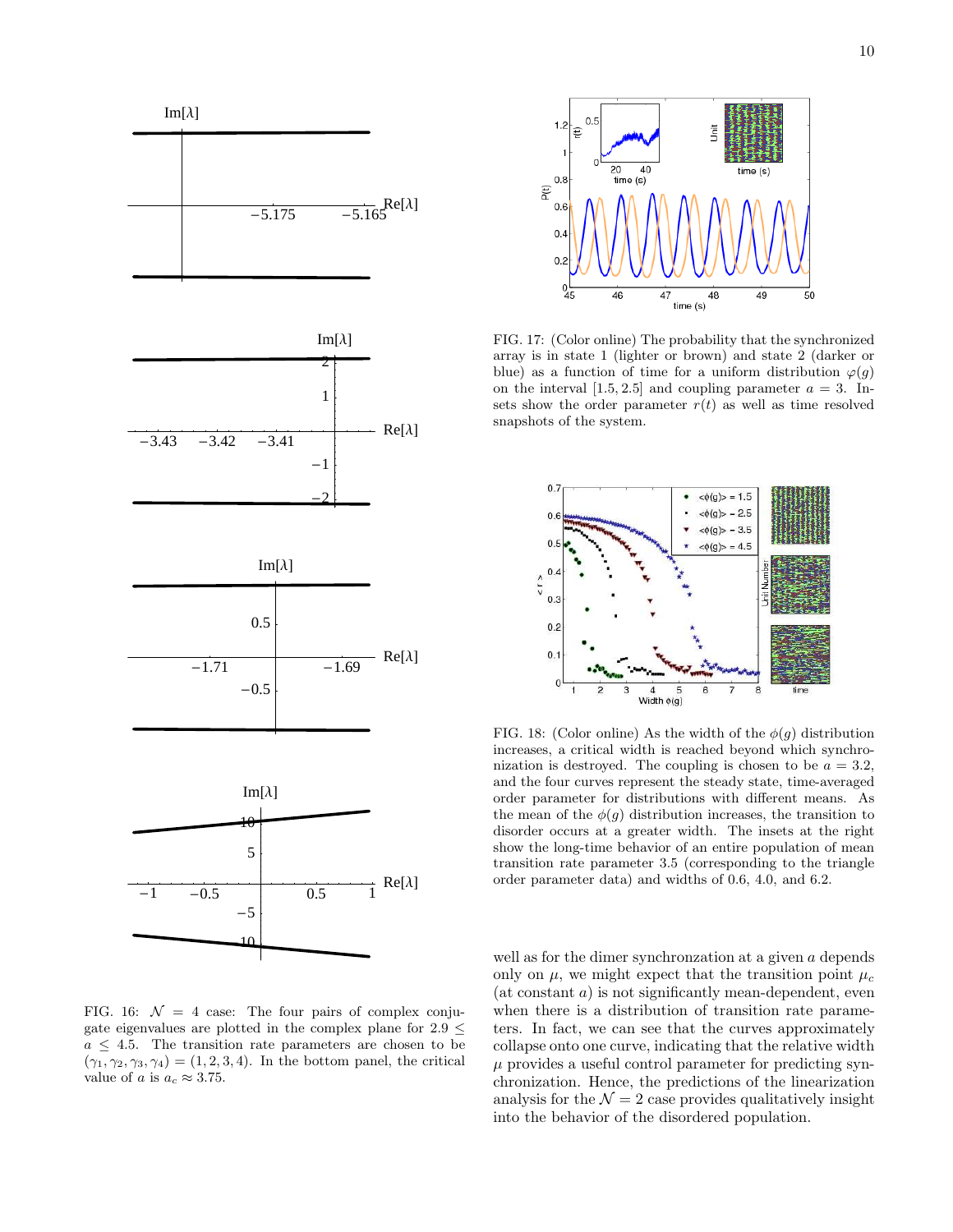







<span id="page-9-0"></span>FIG. 16:  $\mathcal{N} = 4$  case: The four pairs of complex conjugate eigenvalues are plotted in the complex plane for  $2.9 \leq$  $a \leq 4.5$ . The transition rate parameters are chosen to be  $(\gamma_1, \gamma_2, \gamma_3, \gamma_4) = (1, 2, 3, 4)$ . In the bottom panel, the critical value of a is  $a_c \approx 3.75$ .



<span id="page-9-1"></span>FIG. 17: (Color online) The probability that the synchronized array is in state 1 (lighter or brown) and state 2 (darker or blue) as a function of time for a uniform distribution  $\varphi(q)$ on the interval  $[1.5, 2.5]$  and coupling parameter  $a = 3$ . Insets show the order parameter  $r(t)$  as well as time resolved snapshots of the system.



<span id="page-9-2"></span>FIG. 18: (Color online) As the width of the  $\phi(g)$  distribution increases, a critical width is reached beyond which synchronization is destroyed. The coupling is chosen to be  $a = 3.2$ , and the four curves represent the steady state, time-averaged order parameter for distributions with different means. As the mean of the  $\phi(g)$  distribution increases, the transition to disorder occurs at a greater width. The insets at the right show the long-time behavior of an entire population of mean transition rate parameter 3.5 (corresponding to the triangle order parameter data) and widths of 0.6, 4.0, and 6.2.

well as for the dimer synchronzation at a given a depends only on  $\mu$ , we might expect that the transition point  $\mu_c$ (at constant a) is not significantly mean-dependent, even when there is a distribution of transition rate parameters. In fact, we can see that the curves approximately collapse onto one curve, indicating that the relative width  $\mu$  provides a useful control parameter for predicting synchronization. Hence, the predictions of the linearization analysis for the  $\mathcal{N} = 2$  case provides qualitatively insight into the behavior of the disordered population.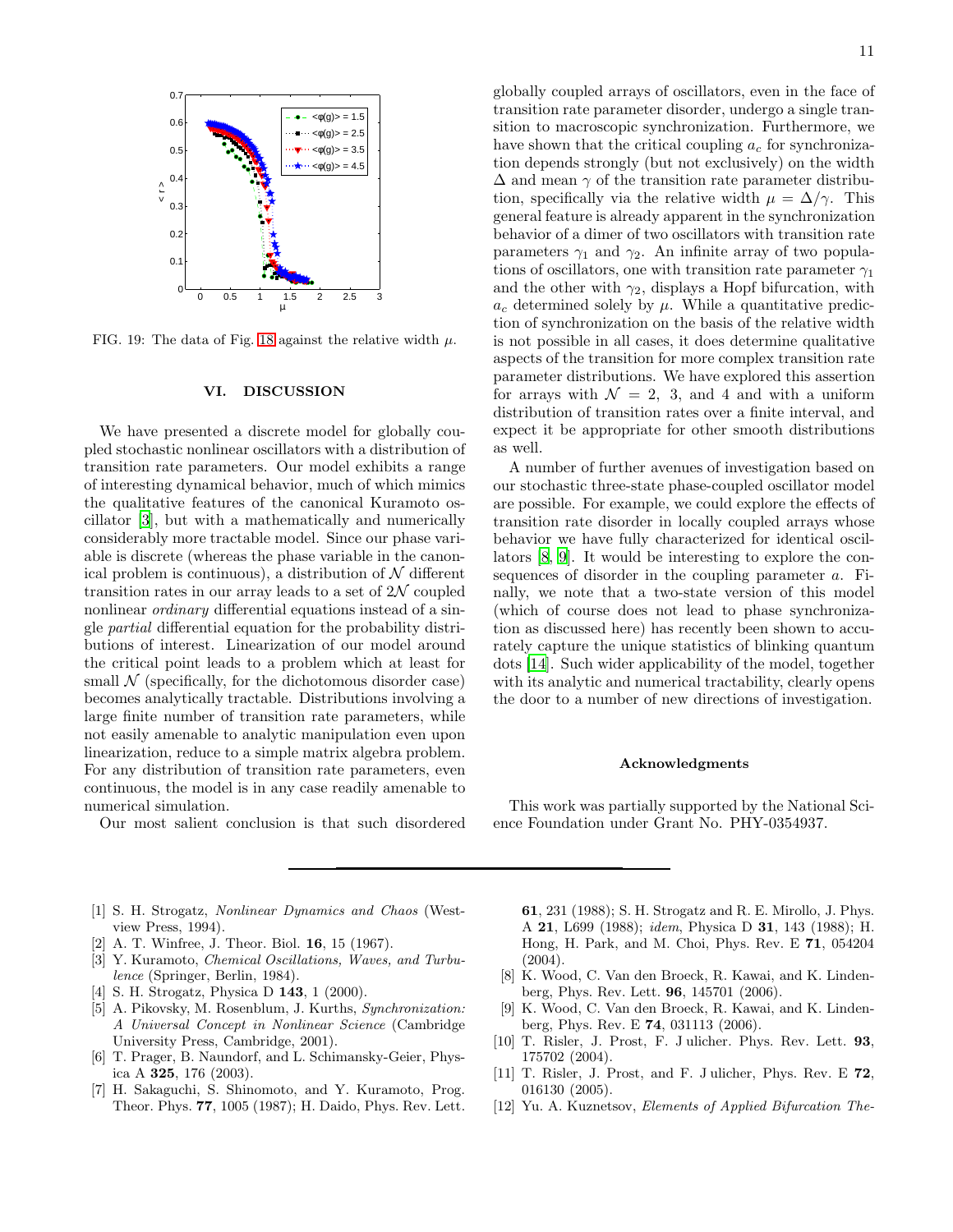

<span id="page-10-13"></span>FIG. 19: The data of Fig. [18](#page-9-2) against the relative width  $\mu$ .

### <span id="page-10-11"></span>VI. DISCUSSION

We have presented a discrete model for globally coupled stochastic nonlinear oscillators with a distribution of transition rate parameters. Our model exhibits a range of interesting dynamical behavior, much of which mimics the qualitative features of the canonical Kuramoto oscillator [\[3](#page-10-2)], but with a mathematically and numerically considerably more tractable model. Since our phase variable is discrete (whereas the phase variable in the canonical problem is continuous), a distribution of  $\mathcal N$  different transition rates in our array leads to a set of  $2\mathcal{N}$  coupled nonlinear *ordinary* differential equations instead of a single partial differential equation for the probability distributions of interest. Linearization of our model around the critical point leads to a problem which at least for small  $\mathcal N$  (specifically, for the dichotomous disorder case) becomes analytically tractable. Distributions involving a large finite number of transition rate parameters, while not easily amenable to analytic manipulation even upon linearization, reduce to a simple matrix algebra problem. For any distribution of transition rate parameters, even continuous, the model is in any case readily amenable to numerical simulation.

Our most salient conclusion is that such disordered

globally coupled arrays of oscillators, even in the face of transition rate parameter disorder, undergo a single transition to macroscopic synchronization. Furthermore, we have shown that the critical coupling  $a_c$  for synchronization depends strongly (but not exclusively) on the width  $\Delta$  and mean  $\gamma$  of the transition rate parameter distribution, specifically via the relative width  $\mu = \Delta/\gamma$ . This general feature is already apparent in the synchronization behavior of a dimer of two oscillators with transition rate parameters  $\gamma_1$  and  $\gamma_2$ . An infinite array of two populations of oscillators, one with transition rate parameter  $\gamma_1$ and the other with  $\gamma_2$ , displays a Hopf bifurcation, with  $a_c$  determined solely by  $\mu$ . While a quantitative prediction of synchronization on the basis of the relative width is not possible in all cases, it does determine qualitative aspects of the transition for more complex transition rate parameter distributions. We have explored this assertion for arrays with  $\mathcal{N} = 2$ , 3, and 4 and with a uniform distribution of transition rates over a finite interval, and expect it be appropriate for other smooth distributions as well.

A number of further avenues of investigation based on our stochastic three-state phase-coupled oscillator model are possible. For example, we could explore the effects of transition rate disorder in locally coupled arrays whose behavior we have fully characterized for identical oscillators [\[8,](#page-10-7) [9](#page-10-8)]. It would be interesting to explore the consequences of disorder in the coupling parameter a. Finally, we note that a two-state version of this model (which of course does not lead to phase synchronization as discussed here) has recently been shown to accurately capture the unique statistics of blinking quantum dots [\[14\]](#page-11-1). Such wider applicability of the model, together with its analytic and numerical tractability, clearly opens the door to a number of new directions of investigation.

#### Acknowledgments

This work was partially supported by the National Science Foundation under Grant No. PHY-0354937.

- <span id="page-10-0"></span>[1] S. H. Strogatz, Nonlinear Dynamics and Chaos (Westview Press, 1994).
- <span id="page-10-1"></span>A. T. Winfree, J. Theor. Biol. **16**, 15 (1967).
- <span id="page-10-2"></span>[3] Y. Kuramoto, *Chemical Oscillations*, *Waves*, and *Turbu*lence (Springer, Berlin, 1984).
- <span id="page-10-3"></span>[4] S. H. Strogatz, Physica D **143**, 1 (2000).
- <span id="page-10-4"></span>[5] A. Pikovsky, M. Rosenblum, J. Kurths, Synchronization: A Universal Concept in Nonlinear Science (Cambridge University Press, Cambridge, 2001).
- <span id="page-10-5"></span>[6] T. Prager, B. Naundorf, and L. Schimansky-Geier, Physica A 325, 176 (2003).
- <span id="page-10-6"></span>[7] H. Sakaguchi, S. Shinomoto, and Y. Kuramoto, Prog. Theor. Phys. 77, 1005 (1987); H. Daido, Phys. Rev. Lett.

61, 231 (1988); S. H. Strogatz and R. E. Mirollo, J. Phys. A 21, L699 (1988); idem, Physica D 31, 143 (1988); H. Hong, H. Park, and M. Choi, Phys. Rev. E 71, 054204 (2004).

- <span id="page-10-7"></span>[8] K. Wood, C. Van den Broeck, R. Kawai, and K. Lindenberg, Phys. Rev. Lett. 96, 145701 (2006).
- <span id="page-10-8"></span>[9] K. Wood, C. Van den Broeck, R. Kawai, and K. Lindenberg, Phys. Rev. E 74, 031113 (2006).
- <span id="page-10-9"></span>[10] T. Risler, J. Prost, F. J ulicher. Phys. Rev. Lett. 93, 175702 (2004).
- <span id="page-10-10"></span>[11] T. Risler, J. Prost, and F. J ulicher, Phys. Rev. E 72, 016130 (2005).
- <span id="page-10-12"></span>[12] Yu. A. Kuznetsov, *Elements of Applied Bifurcation The-*